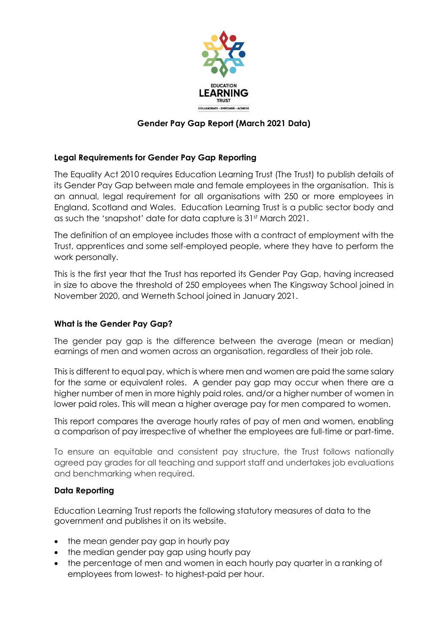

# **Gender Pay Gap Report (March 2021 Data)**

# **Legal Requirements for Gender Pay Gap Reporting**

The Equality Act 2010 requires Education Learning Trust (The Trust) to publish details of its Gender Pay Gap between male and female employees in the organisation. This is an annual, legal requirement for all organisations with 250 or more employees in England, Scotland and Wales. Education Learning Trust is a public sector body and as such the 'snapshot' date for data capture is 31st March 2021.

The definition of an employee includes those with a contract of employment with the Trust, apprentices and some self-employed people, where they have to perform the work personally.

This is the first year that the Trust has reported its Gender Pay Gap, having increased in size to above the threshold of 250 employees when The Kingsway School joined in November 2020, and Werneth School joined in January 2021.

#### **What is the Gender Pay Gap?**

The gender pay gap is the difference between the average (mean or median) earnings of men and women across an organisation, regardless of their job role.

This is different to equal pay, which is where men and women are paid the same salary for the same or equivalent roles. A gender pay gap may occur when there are a higher number of men in more highly paid roles, and/or a higher number of women in lower paid roles. This will mean a higher average pay for men compared to women.

This report compares the average hourly rates of pay of men and women, enabling a comparison of pay irrespective of whether the employees are full-time or part-time.

To ensure an equitable and consistent pay structure, the Trust follows nationally agreed pay grades for all teaching and support staff and undertakes job evaluations and benchmarking when required.

#### **Data Reporting**

Education Learning Trust reports the following statutory measures of data to the government and publishes it on its website.

- the mean gender pay gap in hourly pay
- the median gender pay gap using hourly pay
- the percentage of men and women in each hourly pay quarter in a ranking of employees from lowest- to highest-paid per hour.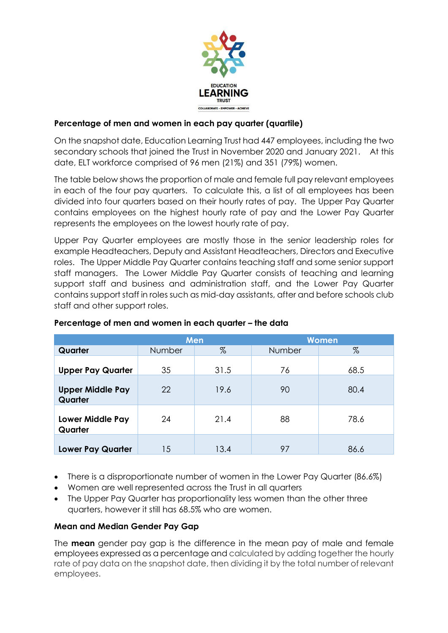

# **Percentage of men and women in each pay quarter (quartile)**

On the snapshot date, Education Learning Trust had 447 employees, including the two secondary schools that joined the Trust in November 2020 and January 2021. At this date, ELT workforce comprised of 96 men (21%) and 351 (79%) women.

The table below shows the proportion of male and female full pay relevant employees in each of the four pay quarters. To calculate this, a list of all employees has been divided into four quarters based on their hourly rates of pay. The Upper Pay Quarter contains employees on the highest hourly rate of pay and the Lower Pay Quarter represents the employees on the lowest hourly rate of pay.

Upper Pay Quarter employees are mostly those in the senior leadership roles for example Headteachers, Deputy and Assistant Headteachers, Directors and Executive roles. The Upper Middle Pay Quarter contains teaching staff and some senior support staff managers. The Lower Middle Pay Quarter consists of teaching and learning support staff and business and administration staff, and the Lower Pay Quarter contains support staff in roles such as mid-day assistants, after and before schools club staff and other support roles.

|                                    | Men    |      | <b>Women</b> |      |
|------------------------------------|--------|------|--------------|------|
| Quarter                            | Number | %    | Number       | %    |
| <b>Upper Pay Quarter</b>           | 35     | 31.5 | 76           | 68.5 |
| <b>Upper Middle Pay</b><br>Quarter | 22     | 19.6 | 90           | 80.4 |
| <b>Lower Middle Pay</b><br>Quarter | 24     | 21.4 | 88           | 78.6 |
| <b>Lower Pay Quarter</b>           | 15     | 13.4 | 97           | 86.6 |

# **Percentage of men and women in each quarter – the data**

- There is a disproportionate number of women in the Lower Pay Quarter (86.6%)
- Women are well represented across the Trust in all quarters
- The Upper Pay Quarter has proportionality less women than the other three quarters, however it still has 68.5% who are women.

#### **Mean and Median Gender Pay Gap**

The **mean** gender pay gap is the difference in the mean pay of male and female employees expressed as a percentage and calculated by adding together the hourly rate of pay data on the snapshot date, then dividing it by the total number of relevant employees.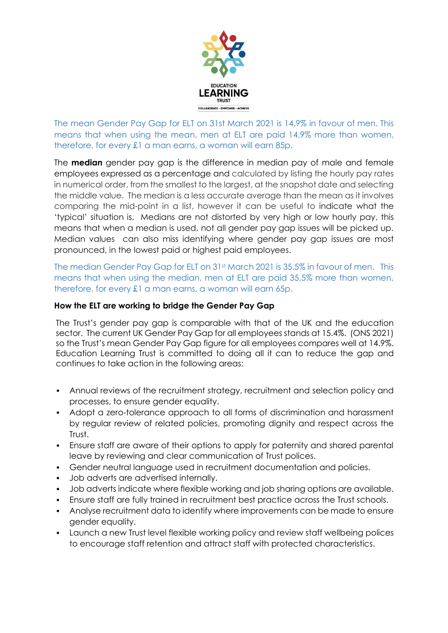

The mean Gender Pay Gap for ELT on 31st March 2021 is 14.9% in favour of men. This means that when using the mean, men at ELT are paid 14.9% more than women, therefore, for every £1 a man earns, a woman will earn 85p.

The **median** gender pay gap is the difference in median pay of male and female employees expressed as a percentage and calculated by listing the hourly pay rates in numerical order, from the smallest to the largest, at the snapshot date and selecting the middle value. The median is a less accurate average than the mean as it involves comparing the mid-point in a list, however it can be useful to indicate what the 'typical' situation is. Medians are not distorted by very high or low hourly pay, this means that when a median is used, not all gender pay gap issues will be picked up. Median values can also miss identifying where gender pay gap issues are most pronounced, in the lowest paid or highest paid employees.

The median Gender Pay Gap for ELT on 31st March 2021 is 35.5% in favour of men. This means that when using the median, men at ELT are paid 35.5% more than women, therefore, for every £1 a man earns, a woman will earn 65p.

### **How the ELT are working to bridge the Gender Pay Gap**

The Trust's gender pay gap is comparable with that of the UK and the education sector. The current UK Gender Pay Gap for all employees stands at 15.4%. (ONS 2021) so the Trust's mean Gender Pay Gap figure for all employees compares well at 14.9%. Education Learning Trust is committed to doing all it can to reduce the gap and continues to take action in the following areas:

- Annual reviews of the recruitment strategy, recruitment and selection policy and processes, to ensure gender equality.
- Adopt a zero-tolerance approach to all forms of discrimination and harassment by regular review of related policies, promoting dignity and respect across the Trust.
- Ensure staff are aware of their options to apply for paternity and shared parental leave by reviewing and clear communication of Trust polices.
- Gender neutral language used in recruitment documentation and policies.
- Job adverts are advertised internally.
- Job adverts indicate where flexible working and job sharing options are available.
- Ensure staff are fully trained in recruitment best practice across the Trust schools.
- Analyse recruitment data to identify where improvements can be made to ensure gender equality.
- Launch a new Trust level flexible working policy and review staff wellbeing polices to encourage staff retention and attract staff with protected characteristics.